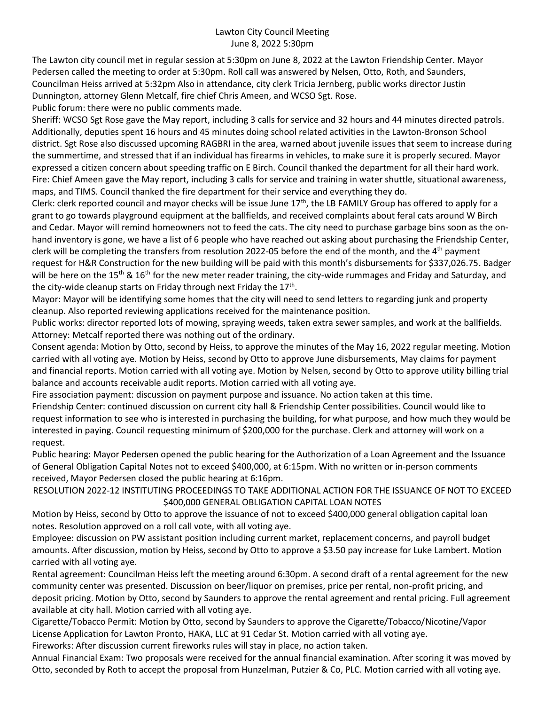## Lawton City Council Meeting June 8, 2022 5:30pm

The Lawton city council met in regular session at 5:30pm on June 8, 2022 at the Lawton Friendship Center. Mayor Pedersen called the meeting to order at 5:30pm. Roll call was answered by Nelsen, Otto, Roth, and Saunders, Councilman Heiss arrived at 5:32pm Also in attendance, city clerk Tricia Jernberg, public works director Justin Dunnington, attorney Glenn Metcalf, fire chief Chris Ameen, and WCSO Sgt. Rose.

Public forum: there were no public comments made.

Sheriff: WCSO Sgt Rose gave the May report, including 3 calls for service and 32 hours and 44 minutes directed patrols. Additionally, deputies spent 16 hours and 45 minutes doing school related activities in the Lawton-Bronson School district. Sgt Rose also discussed upcoming RAGBRI in the area, warned about juvenile issues that seem to increase during the summertime, and stressed that if an individual has firearms in vehicles, to make sure it is properly secured. Mayor expressed a citizen concern about speeding traffic on E Birch. Council thanked the department for all their hard work. Fire: Chief Ameen gave the May report, including 3 calls for service and training in water shuttle, situational awareness, maps, and TIMS. Council thanked the fire department for their service and everything they do.

Clerk: clerk reported council and mayor checks will be issue June  $17<sup>th</sup>$ , the LB FAMILY Group has offered to apply for a grant to go towards playground equipment at the ballfields, and received complaints about feral cats around W Birch and Cedar. Mayor will remind homeowners not to feed the cats. The city need to purchase garbage bins soon as the onhand inventory is gone, we have a list of 6 people who have reached out asking about purchasing the Friendship Center, clerk will be completing the transfers from resolution 2022-05 before the end of the month, and the 4th payment request for H&R Construction for the new building will be paid with this month's disbursements for \$337,026.75. Badger will be here on the 15<sup>th</sup> & 16<sup>th</sup> for the new meter reader training, the city-wide rummages and Friday and Saturday, and the city-wide cleanup starts on Friday through next Friday the 17<sup>th</sup>.

Mayor: Mayor will be identifying some homes that the city will need to send letters to regarding junk and property cleanup. Also reported reviewing applications received for the maintenance position.

Public works: director reported lots of mowing, spraying weeds, taken extra sewer samples, and work at the ballfields. Attorney: Metcalf reported there was nothing out of the ordinary.

Consent agenda: Motion by Otto, second by Heiss, to approve the minutes of the May 16, 2022 regular meeting. Motion carried with all voting aye. Motion by Heiss, second by Otto to approve June disbursements, May claims for payment and financial reports. Motion carried with all voting aye. Motion by Nelsen, second by Otto to approve utility billing trial balance and accounts receivable audit reports. Motion carried with all voting aye.

Fire association payment: discussion on payment purpose and issuance. No action taken at this time.

Friendship Center: continued discussion on current city hall & Friendship Center possibilities. Council would like to request information to see who is interested in purchasing the building, for what purpose, and how much they would be interested in paying. Council requesting minimum of \$200,000 for the purchase. Clerk and attorney will work on a request.

Public hearing: Mayor Pedersen opened the public hearing for the Authorization of a Loan Agreement and the Issuance of General Obligation Capital Notes not to exceed \$400,000, at 6:15pm. With no written or in-person comments received, Mayor Pedersen closed the public hearing at 6:16pm.

RESOLUTION 2022-12 INSTITUTING PROCEEDINGS TO TAKE ADDITIONAL ACTION FOR THE ISSUANCE OF NOT TO EXCEED \$400,000 GENERAL OBLIGATION CAPITAL LOAN NOTES

Motion by Heiss, second by Otto to approve the issuance of not to exceed \$400,000 general obligation capital loan notes. Resolution approved on a roll call vote, with all voting aye.

Employee: discussion on PW assistant position including current market, replacement concerns, and payroll budget amounts. After discussion, motion by Heiss, second by Otto to approve a \$3.50 pay increase for Luke Lambert. Motion carried with all voting aye.

Rental agreement: Councilman Heiss left the meeting around 6:30pm. A second draft of a rental agreement for the new community center was presented. Discussion on beer/liquor on premises, price per rental, non-profit pricing, and deposit pricing. Motion by Otto, second by Saunders to approve the rental agreement and rental pricing. Full agreement available at city hall. Motion carried with all voting aye.

Cigarette/Tobacco Permit: Motion by Otto, second by Saunders to approve the Cigarette/Tobacco/Nicotine/Vapor License Application for Lawton Pronto, HAKA, LLC at 91 Cedar St. Motion carried with all voting aye.

Fireworks: After discussion current fireworks rules will stay in place, no action taken.

Annual Financial Exam: Two proposals were received for the annual financial examination. After scoring it was moved by Otto, seconded by Roth to accept the proposal from Hunzelman, Putzier & Co, PLC. Motion carried with all voting aye.